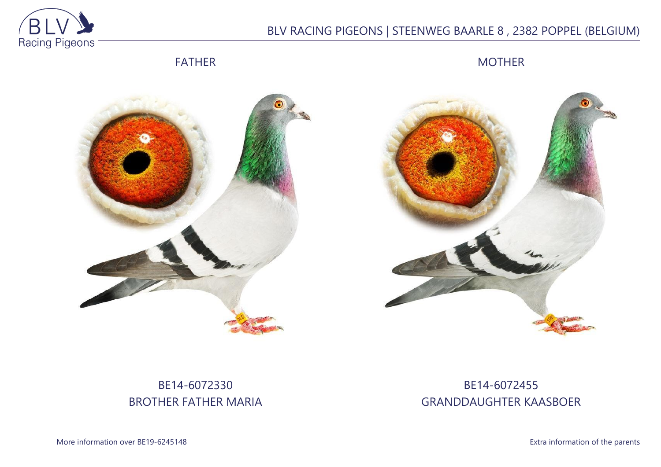

# BLV RACING PIGEONS | STEENWEG BAARLE 8 , 2382 POPPEL (BELGIUM)

FATHER

MOTHER





# BE14-6072330 BROTHER FATHER MARIA

## BE14-6072455 GRANDDAUGHTER KAASBOER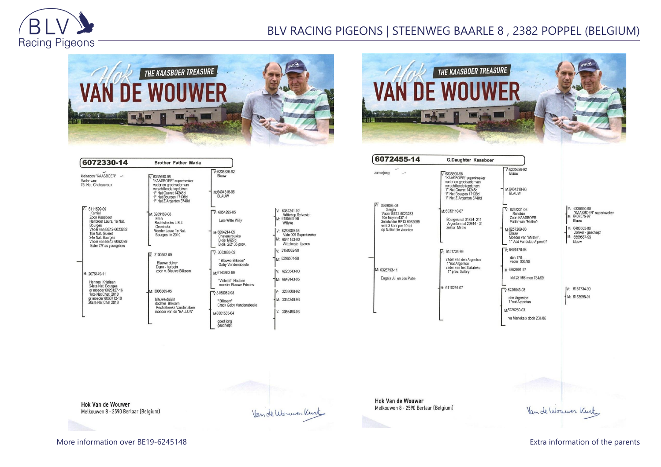

## BLV RACING PIGEONS | STEENWEG BAARLE 8 , 2382 POPPEL (BELGIUM)





 $\overline{V}$ : 6235626-92

M:6404318-96

V: 6257231-03<br>Ronaldo<br>Zoon KAASBOER<br>Vader van "Mirthe":

M:6257209-03 n: 0207209<br>Blauw<br>Moeder van "Mirthe":<br>1° Asd Fondclub A'pen 07

 $\nabla: 6495178-94$ den 178<br>vader 036/95 M-6362091-97 kld 231/86 moe 734/99

 $\nabla 6226043-03$ 

den Argenton<br>1°nat Argenton M6226250-03

va Marieke x doch 231/86

| 6072330-14                                                                                                                                                                                                           | <b>Brother Father Maria</b>                                                                                                                                                            |                                                                                                                                                                                                           |
|----------------------------------------------------------------------------------------------------------------------------------------------------------------------------------------------------------------------|----------------------------------------------------------------------------------------------------------------------------------------------------------------------------------------|-----------------------------------------------------------------------------------------------------------------------------------------------------------------------------------------------------------|
| kleinzoon "KAASBOER" -<br>Vader van:<br>75. Nat. Chateauroux                                                                                                                                                         | $.6335690-98$<br>*KAASBOER* superkweker<br>vader en grootvader van<br>verschillende topduiven<br>1° Nat Gueret 14245d<br>1° Nat Bourges 17138d<br>1° Nat Z Argenton 3740d              | $V: 6235626-92$<br>Blauw<br>M:6404318-96<br><b>BLAUW</b>                                                                                                                                                  |
| $\sqrt{5}$ 6111599-09<br>Kamiel<br>Zoon Kaasboer<br>Halfbroer Laura, 1e Nat.<br><b>Bourges</b><br>Vader van BE12-6023282<br>15e Nat. Guéret<br>24e Nat. Bourges<br>Vader van BE13-6062079<br>Ester 7/7 as youngsters | M: 6259169-08<br>Fma<br>Rechtstreeks L.B.J.<br>Geerinckx<br>Moeder Laura 1e Nat.<br>Bourges in 2010                                                                                    | 6054295-05<br>v.<br>Late Witte Willy<br>M-6054214-05<br>Chateaurouxke<br><b>Blois 1/627d</b><br>Blois 2/2135 prov.                                                                                        |
| M: 2076149-11<br>Hennes Kristiaan<br>24ste Nat. Bourges<br>ar moeder 6023127-16<br>1ste Nat Chat. 2018<br>gr moeder 6063712-18<br>20ste Nat Chat 2018                                                                | 2100552-09<br>V<br>Blauwe duiver<br>Deno - herbots<br>zoon v. Blauwe Bliksem<br>M: 3006565-05<br>blauwe duivin<br>dochter Bliksem<br>Rechtstreeks Vandenabee<br>moeder van de "BALLON" | $\nabla 3003886-02$<br>" Blauwe Bliksem"<br>Gaby Vandenabeele<br>M:6143863-99<br>"Violetta" Houben<br>moeder Blauwe Princes<br>$\nabla 3158062-98$<br>"Bliksem"<br>Crack Gaby Vandenabeele<br>M3001535-04 |
|                                                                                                                                                                                                                      |                                                                                                                                                                                        | goed jong<br>geschelpt                                                                                                                                                                                    |

| $1: 6354241 - 02$                              |
|------------------------------------------------|
| Wittekop Sylvester<br>M: 6185637-98<br>Willyke |
| $V - 6278009 - 95$<br>Vale 009 Superkweker     |
| M: 6541152-00<br>Wittekopje ijzeren            |
| v. 3158062-98                                  |
| M: 6396501-98                                  |
| $V: 6228543 - 93$                              |
| M: 6649143-95                                  |
| $\frac{1}{2}$ 3233008-92                       |
| M: 3354340-93                                  |
| $\frac{1}{2}$ 3056498-03                       |
|                                                |

| 6072455-14                                                                                                                                  | <b>G.Daughter Kaasboer</b>                                                                                                                                                   |
|---------------------------------------------------------------------------------------------------------------------------------------------|------------------------------------------------------------------------------------------------------------------------------------------------------------------------------|
| zomerjong                                                                                                                                   | $1.6335690 - 98$<br>"KAASBOER" superkweker<br>vader en grootvader van<br>verschillende topduiven<br>1° Nat Gueret 14245d<br>1° Nat Bourges 17138d<br>1° Nat Z Argenton 3740d |
| 6369094-08<br>Sergio<br>Vader BE12-6023233<br>10e Noyon 437 d<br>Grootvader BE13-6062089<br>wint 3 keer per 10-tal<br>op Nationale vluchten | M: 6033110-07<br>Bourges nat 31824-211<br>Argenton nat 20844 - 31<br>zuster Mirthe                                                                                           |
|                                                                                                                                             |                                                                                                                                                                              |
| M: 6326793-11                                                                                                                               | 6151734-99<br>vader van den Argenton<br>1°nat.Argenton<br>vader van het Salbrieke<br>1° prov. Salbry                                                                         |
| Engels Jul en Jos Putte                                                                                                                     |                                                                                                                                                                              |
|                                                                                                                                             | M: 6110291-07                                                                                                                                                                |
|                                                                                                                                             |                                                                                                                                                                              |

and the control of the control of the

V: 6335690-98<br>"KAASBOER" superkweker<br>M: 6407575-97 Blauw V: 6480563-00<br>Donker - geschelpt<br>M: 6559567-99

blauw

V: 6151734-99

M: 6153998-01

**Hok Van de Wouwer** Melkouwen 8 - 2590 Berlaar (Belgium)

Van de Wouwer Kurtz

Hok Van de Wouwer Melkouwen 8 - 2590 Berlaar (Belgium)

Van de Worwer Kurt

More information over BE19-6245148 **Extra information of the parents** Extra information of the parents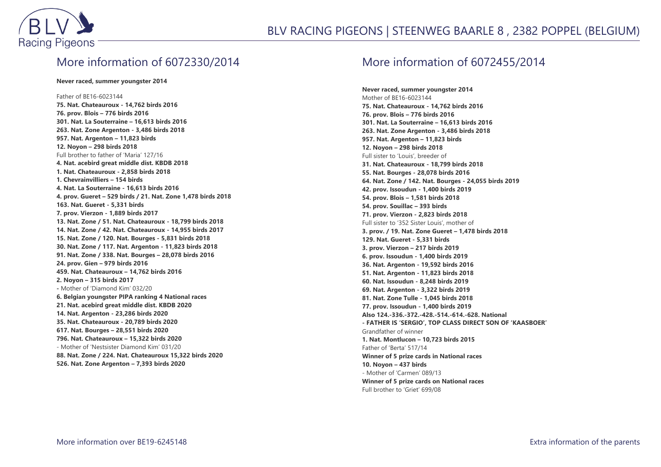

### More information of 6072330/2014

#### **Never raced, summer youngster 2014**

#### Father of BE16-6023144

**75. Nat. Chateauroux - 14,762 birds 2016 76. prov. Blois – 776 birds 2016 301. Nat. La Souterraine – 16,613 birds 2016 263. Nat. Zone Argenton - 3,486 birds 2018 957. Nat. Argenton – 11,823 birds 12. Noyon – 298 birds 2018** Full brother to father of 'Maria' 127/16 **4. Nat. acebird great middle dist. KBDB 2018 1. Nat. Chateauroux - 2,858 birds 2018 1. Chevrainvilliers – 154 birds 4. Nat. La Souterraine - 16,613 birds 2016 4. prov. Gueret – 529 birds / 21. Nat. Zone 1,478 birds 2018 163. Nat. Gueret - 5,331 birds 7. prov. Vierzon - 1,889 birds 2017 13. Nat. Zone / 51. Nat. Chateauroux - 18,799 birds 2018 14. Nat. Zone / 42. Nat. Chateauroux - 14,955 birds 2017 15. Nat. Zone / 120. Nat. Bourges - 5,831 birds 2018 30. Nat. Zone / 117. Nat. Argenton - 11,823 birds 2018 91. Nat. Zone / 338. Nat. Bourges – 28,078 birds 2016 24. prov. Gien – 979 birds 2016 459. Nat. Chateauroux – 14,762 birds 2016 2. Noyon – 315 birds 2017 -** Mother of 'Diamond Kim' 032/20 **6. Belgian youngster PIPA ranking 4 National races 21. Nat. acebird great middle dist. KBDB 2020 14. Nat. Argenton - 23,286 birds 2020 35. Nat. Chateauroux - 20,789 birds 2020 617. Nat. Bourges – 28,551 birds 2020 796. Nat. Chateauroux – 15,322 birds 2020** - Mother of 'Nestsister Diamond Kim' 031/20 **88. Nat. Zone / 224. Nat. Chateauroux 15,322 birds 2020 526. Nat. Zone Argenton – 7,393 birds 2020**

### More information of 6072455/2014

**Never raced, summer youngster 2014** Mother of BE16-6023144 **75. Nat. Chateauroux - 14,762 birds 2016 76. prov. Blois – 776 birds 2016 301. Nat. La Souterraine – 16,613 birds 2016 263. Nat. Zone Argenton - 3,486 birds 2018 957. Nat. Argenton – 11,823 birds 12. Noyon – 298 birds 2018** Full sister to 'Louis', breeder of **31. Nat. Chateauroux - 18,799 birds 2018 55. Nat. Bourges - 28,078 birds 2016 64. Nat. Zone / 142. Nat. Bourges - 24,055 birds 2019 42. prov. Issoudun - 1,400 birds 2019 54. prov. Blois – 1,581 birds 2018 54. prov. Souillac – 393 birds 71. prov. Vierzon - 2,823 birds 2018** Full sister to '352 Sister Louis', mother of **3. prov. / 19. Nat. Zone Gueret – 1,478 birds 2018 129. Nat. Gueret - 5,331 birds 3. prov. Vierzon – 217 birds 2019 6. prov. Issoudun - 1,400 birds 2019 36. Nat. Argenton - 19,592 birds 2016 51. Nat. Argenton - 11,823 birds 2018 60. Nat. Issoudun - 8,248 birds 2019 69. Nat. Argenton - 3,322 birds 2019 81. Nat. Zone Tulle - 1,045 birds 2018 77. prov. Issoudun - 1,400 birds 2019 Also 124.-336.-372.-428.-514.-614.-628. National - FATHER IS 'SERGIO', TOP CLASS DIRECT SON OF 'KAASBOER'** Grandfather of winner **1. Nat. Montlucon – 10,723 birds 2015** Father of 'Berta' 517/14 **Winner of 5 prize cards in National races 10. Noyon – 437 birds** - Mother of 'Carmen' 089/13 **Winner of 5 prize cards on National races** Full brother to 'Griet' 699/08